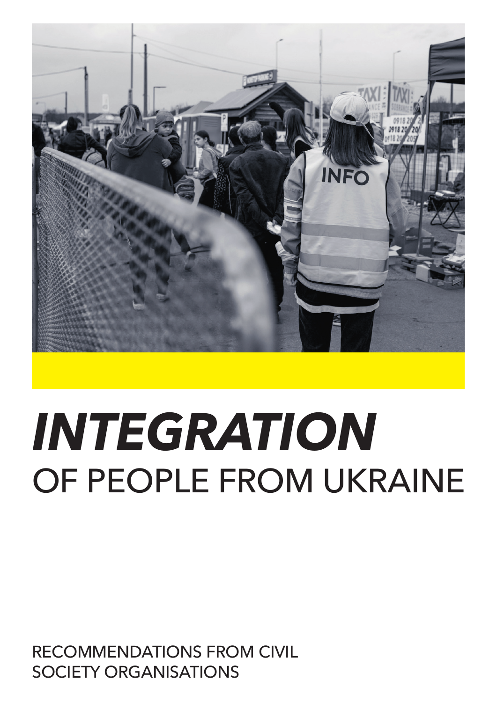

# *INTEGRATION*  OF PEOPLE FROM UKRAINE

RECOMMENDATIONS FROM CIVIL SOCIETY ORGANISATIONS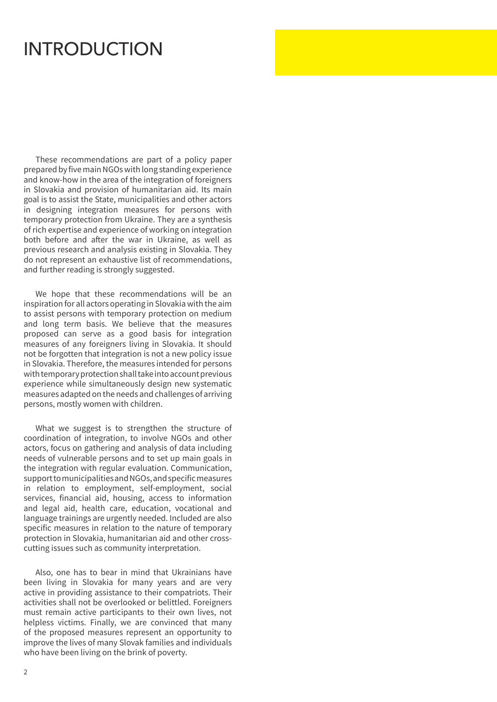### INTRODUCTION

These recommendations are part of a policy paper prepared by five main NGOs with long standing experience and know-how in the area of the integration of foreigners in Slovakia and provision of humanitarian aid. Its main goal is to assist the State, municipalities and other actors in designing integration measures for persons with temporary protection from Ukraine. They are a synthesis of rich expertise and experience of working on integration both before and after the war in Ukraine, as well as previous research and analysis existing in Slovakia. They do not represent an exhaustive list of recommendations, and further reading is strongly suggested.

We hope that these recommendations will be an inspiration for all actors operating in Slovakia with the aim to assist persons with temporary protection on medium and long term basis. We believe that the measures proposed can serve as a good basis for integration measures of any foreigners living in Slovakia. It should not be forgotten that integration is not a new policy issue in Slovakia. Therefore, the measures intended for persons with temporary protection shall take into account previous experience while simultaneously design new systematic measures adapted on the needs and challenges of arriving persons, mostly women with children.

What we suggest is to strengthen the structure of coordination of integration, to involve NGOs and other actors, focus on gathering and analysis of data including needs of vulnerable persons and to set up main goals in the integration with regular evaluation. Communication, support to municipalities and NGOs, and specific measures in relation to employment, self-employment, social services, financial aid, housing, access to information and legal aid, health care, education, vocational and language trainings are urgently needed. Included are also specific measures in relation to the nature of temporary protection in Slovakia, humanitarian aid and other crosscutting issues such as community interpretation.

Also, one has to bear in mind that Ukrainians have been living in Slovakia for many years and are very active in providing assistance to their compatriots. Their activities shall not be overlooked or belittled. Foreigners must remain active participants to their own lives, not helpless victims. Finally, we are convinced that many of the proposed measures represent an opportunity to improve the lives of many Slovak families and individuals who have been living on the brink of poverty.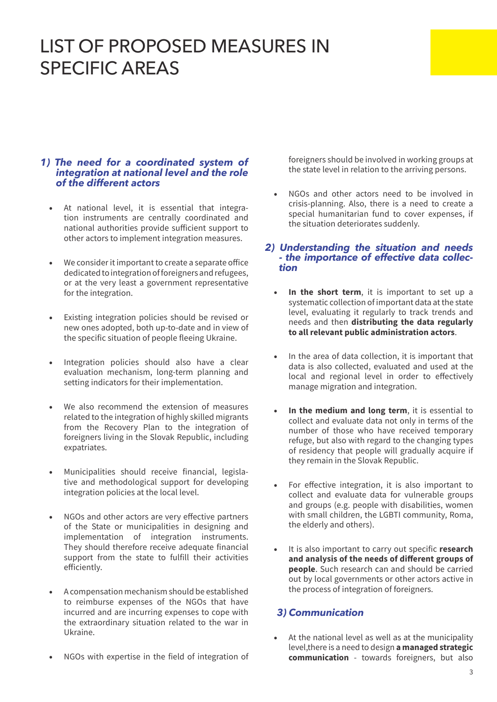## LIST OF PROPOSED MEASURES IN SPECIFIC AREAS

#### *1) The need for a coordinated system of integration at national level and the role of the different actors*

- At national level, it is essential that integration instruments are centrally coordinated and national authorities provide sufficient support to other actors to implement integration measures.
- We consider it important to create a separate office dedicated to integration of foreigners and refugees, or at the very least a government representative for the integration.
- Existing integration policies should be revised or new ones adopted, both up-to-date and in view of the specific situation of people fleeing Ukraine.
- Integration policies should also have a clear evaluation mechanism, long-term planning and setting indicators for their implementation.
- We also recommend the extension of measures related to the integration of highly skilled migrants from the Recovery Plan to the integration of foreigners living in the Slovak Republic, including expatriates.
- Municipalities should receive financial, legislative and methodological support for developing integration policies at the local level.
- NGOs and other actors are very effective partners of the State or municipalities in designing and implementation of integration instruments. They should therefore receive adequate financial support from the state to fulfill their activities efficiently.
- A compensation mechanism should be established to reimburse expenses of the NGOs that have incurred and are incurring expenses to cope with the extraordinary situation related to the war in Ukraine.
- NGOs with expertise in the field of integration of

foreigners should be involved in working groups at the state level in relation to the arriving persons.

• NGOs and other actors need to be involved in crisis-planning. Also, there is a need to create a special humanitarian fund to cover expenses, if the situation deteriorates suddenly.

# *2) Understanding the situation and needs - the importance of effective data collec- tion*

- **In the short term**, it is important to set up a systematic collection of important data at the state level, evaluating it regularly to track trends and needs and then **distributing the data regularly to all relevant public administration actors**.
- In the area of data collection, it is important that data is also collected, evaluated and used at the local and regional level in order to effectively manage migration and integration.
- In the medium and long term, it is essential to collect and evaluate data not only in terms of the number of those who have received temporary refuge, but also with regard to the changing types of residency that people will gradually acquire if they remain in the Slovak Republic.
- For effective integration, it is also important to collect and evaluate data for vulnerable groups and groups (e.g. people with disabilities, women with small children, the LGBTI community, Roma, the elderly and others).
- It is also important to carry out specific **research and analysis of the needs of different groups of people**. Such research can and should be carried out by local governments or other actors active in the process of integration of foreigners.

#### *3) Communication*

At the national level as well as at the municipality level,there is a need to design **a managed strategic communication** - towards foreigners, but also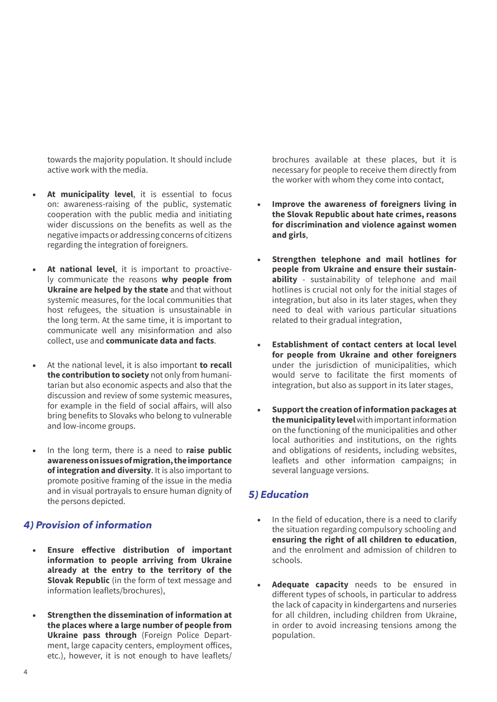towards the majority population. It should include active work with the media.

- At municipality level, it is essential to focus on: awareness-raising of the public, systematic cooperation with the public media and initiating wider discussions on the benefits as well as the negative impacts or addressing concerns of citizens regarding the integration of foreigners.
- At national level, it is important to proactively communicate the reasons **why people from Ukraine are helped by the state** and that without systemic measures, for the local communities that host refugees, the situation is unsustainable in the long term. At the same time, it is important to communicate well any misinformation and also collect, use and **communicate data and facts**.
- At the national level, it is also important **to recall the contribution to society** not only from humanitarian but also economic aspects and also that the discussion and review of some systemic measures, for example in the field of social affairs, will also bring benefits to Slovaks who belong to vulnerable and low-income groups.
- In the long term, there is a need to **raise public awareness on issues of migration, the importance of integration and diversity**. It is also important to promote positive framing of the issue in the media and in visual portrayals to ensure human dignity of the persons depicted.

#### *4) Provision of information*

- **Ensure effective distribution of important information to people arriving from Ukraine already at the entry to the territory of the Slovak Republic** (in the form of text message and information leaflets/brochures),
- **Strengthen the dissemination of information at the places where a large number of people from Ukraine pass through** (Foreign Police Department, large capacity centers, employment offices, etc.), however, it is not enough to have leaflets/

brochures available at these places, but it is necessary for people to receive them directly from the worker with whom they come into contact,

- **Improve the awareness of foreigners living in the Slovak Republic about hate crimes, reasons for discrimination and violence against women and girls**,
- **Strengthen telephone and mail hotlines for people from Ukraine and ensure their sustainability** - sustainability of telephone and mail hotlines is crucial not only for the initial stages of integration, but also in its later stages, when they need to deal with various particular situations related to their gradual integration,
- **Establishment of contact centers at local level for people from Ukraine and other foreigners** under the jurisdiction of municipalities, which would serve to facilitate the first moments of integration, but also as support in its later stages,
- **Support the creation of information packages at the municipality level** with important information on the functioning of the municipalities and other local authorities and institutions, on the rights and obligations of residents, including websites, leaflets and other information campaigns; in several language versions.

#### *5) Education*

- In the field of education, there is a need to clarify the situation regarding compulsory schooling and **ensuring the right of all children to education**, and the enrolment and admission of children to schools.
- Adequate capacity needs to be ensured in different types of schools, in particular to address the lack of capacity in kindergartens and nurseries for all children, including children from Ukraine, in order to avoid increasing tensions among the population.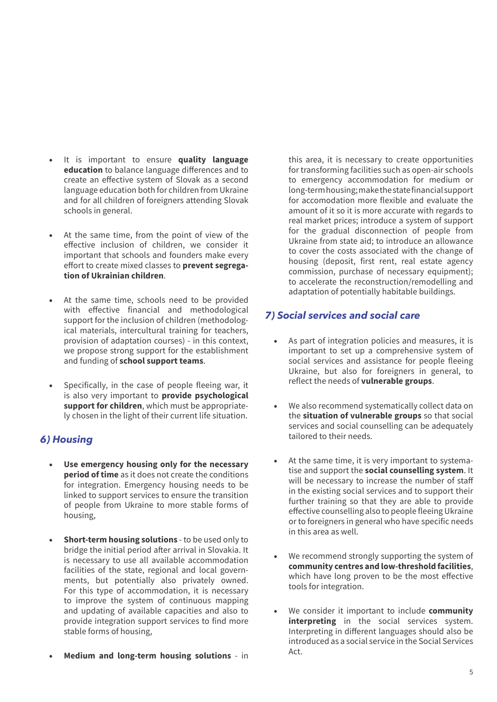- It is important to ensure **quality language education** to balance language differences and to create an effective system of Slovak as a second language education both for children from Ukraine and for all children of foreigners attending Slovak schools in general.
- At the same time, from the point of view of the effective inclusion of children, we consider it important that schools and founders make every effort to create mixed classes to **prevent segregation of Ukrainian children**.
- At the same time, schools need to be provided with effective financial and methodological support for the inclusion of children (methodological materials, intercultural training for teachers, provision of adaptation courses) - in this context, we propose strong support for the establishment and funding of **school support teams**.
- Specifically, in the case of people fleeing war, it is also very important to **provide psychological support for children**, which must be appropriately chosen in the light of their current life situation.

#### *6) Housing*

- **Use emergency housing only for the necessary period of time** as it does not create the conditions for integration. Emergency housing needs to be linked to support services to ensure the transition of people from Ukraine to more stable forms of housing,
- **Short-term housing solutions** to be used only to bridge the initial period after arrival in Slovakia. It is necessary to use all available accommodation facilities of the state, regional and local governments, but potentially also privately owned. For this type of accommodation, it is necessary to improve the system of continuous mapping and updating of available capacities and also to provide integration support services to find more stable forms of housing,
- **Medium and long-term housing solutions** in

this area, it is necessary to create opportunities for transforming facilities such as open-air schools to emergency accommodation for medium or long-term housing; make the state financial support for accomodation more flexible and evaluate the amount of it so it is more accurate with regards to real market prices; introduce a system of support for the gradual disconnection of people from Ukraine from state aid; to introduce an allowance to cover the costs associated with the change of housing (deposit, first rent, real estate agency commission, purchase of necessary equipment); to accelerate the reconstruction/remodelling and adaptation of potentially habitable buildings.

#### *7) Social services and social care*

- As part of integration policies and measures, it is important to set up a comprehensive system of social services and assistance for people fleeing Ukraine, but also for foreigners in general, to reflect the needs of **vulnerable groups**.
- We also recommend systematically collect data on the **situation of vulnerable groups** so that social services and social counselling can be adequately tailored to their needs.
- At the same time, it is very important to systematise and support the **social counselling system**. It will be necessary to increase the number of staff in the existing social services and to support their further training so that they are able to provide effective counselling also to people fleeing Ukraine or to foreigners in general who have specific needs in this area as well.
- We recommend strongly supporting the system of **community centres and low-threshold facilities**, which have long proven to be the most effective tools for integration.
- We consider it important to include **community interpreting** in the social services system. Interpreting in different languages should also be introduced as a social service in the Social Services Act.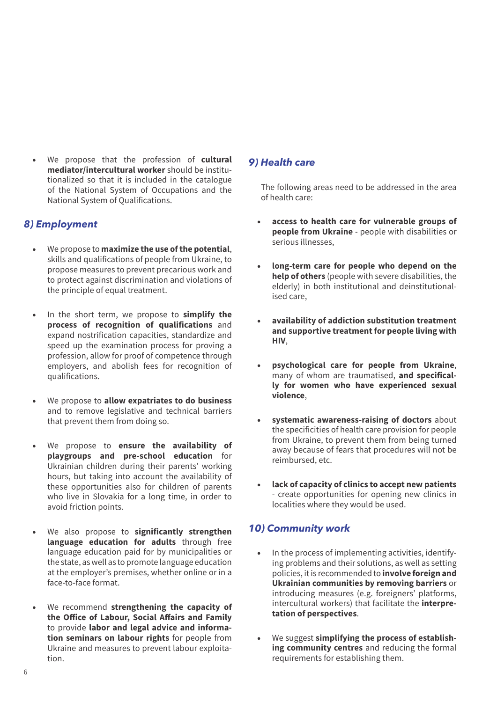• We propose that the profession of **cultural mediator/intercultural worker** should be institutionalized so that it is included in the catalogue of the National System of Occupations and the National System of Qualifications.

#### *8) Employment*

- We propose to **maximize the use of the potential**, skills and qualifications of people from Ukraine, to propose measures to prevent precarious work and to protect against discrimination and violations of the principle of equal treatment.
- In the short term, we propose to **simplify the process of recognition of qualifications** and expand nostrification capacities, standardize and speed up the examination process for proving a profession, allow for proof of competence through employers, and abolish fees for recognition of qualifications.
- We propose to **allow expatriates to do business**  and to remove legislative and technical barriers that prevent them from doing so.
- We propose to **ensure the availability of playgroups and pre-school education** for Ukrainian children during their parents' working hours, but taking into account the availability of these opportunities also for children of parents who live in Slovakia for a long time, in order to avoid friction points.
- We also propose to **significantly strengthen language education for adults** through free language education paid for by municipalities or the state, as well as to promote language education at the employer's premises, whether online or in a face-to-face format.
- We recommend **strengthening the capacity of the Office of Labour, Social Affairs and Family** to provide **labor and legal advice and information seminars on labour rights** for people from Ukraine and measures to prevent labour exploitation.

#### *9) Health care*

The following areas need to be addressed in the area of health care:

- **access to health care for vulnerable groups of people from Ukraine** - people with disabilities or serious illnesses,
- **long-term care for people who depend on the help of others** (people with severe disabilities, the elderly) in both institutional and deinstitutionalised care,
- **availability of addiction substitution treatment and supportive treatment for people living with HIV**,
- **psychological care for people from Ukraine**, many of whom are traumatised, **and specifically for women who have experienced sexual violence**,
- **systematic awareness-raising of doctors** about the specificities of health care provision for people from Ukraine, to prevent them from being turned away because of fears that procedures will not be reimbursed, etc.
- **lack of capacity of clinics to accept new patients** - create opportunities for opening new clinics in localities where they would be used.

#### *10) Community work*

- In the process of implementing activities, identifying problems and their solutions, as well as setting policies, it is recommended to **involve foreign and Ukrainian communities by removing barriers** or introducing measures (e.g. foreigners' platforms, intercultural workers) that facilitate the **interpretation of perspectives**.
- We suggest simplifying the process of establish**ing community centres** and reducing the formal requirements for establishing them.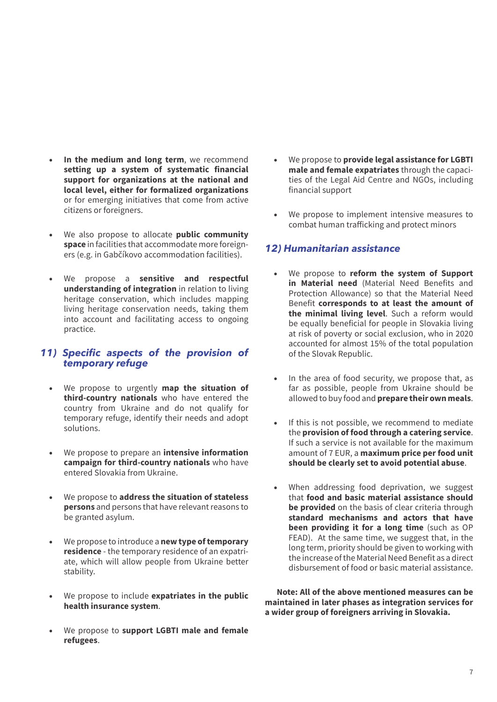- In the medium and long term, we recommend **setting up a system of systematic financial support for organizations at the national and local level, either for formalized organizations** or for emerging initiatives that come from active citizens or foreigners.
- We also propose to allocate **public community space** in facilities that accommodate more foreigners (e.g. in Gabčíkovo accommodation facilities).
- We propose a **sensitive and respectful understanding of integration** in relation to living heritage conservation, which includes mapping living heritage conservation needs, taking them into account and facilitating access to ongoing practice.

#### *11) Specific aspects of the provision of temporary refuge*

- We propose to urgently **map the situation of third-country nationals** who have entered the country from Ukraine and do not qualify for temporary refuge, identify their needs and adopt solutions.
- We propose to prepare an **intensive information campaign for third-country nationals** who have entered Slovakia from Ukraine.
- We propose to **address the situation of stateless persons** and persons that have relevant reasons to be granted asylum.
- We propose to introduce a **new type of temporary residence** - the temporary residence of an expatriate, which will allow people from Ukraine better stability.
- We propose to include **expatriates in the public health insurance system**.
- We propose to **support LGBTI male and female refugees**.
- We propose to **provide legal assistance for LGBTI male and female expatriates** through the capacities of the Legal Aid Centre and NGOs, including financial support
- We propose to implement intensive measures to combat human trafficking and protect minors

#### *12) Humanitarian assistance*

- We propose to **reform the system of Support in Material need** (Material Need Benefits and Protection Allowance) so that the Material Need Benefit **corresponds to at least the amount of the minimal living level**. Such a reform would be equally beneficial for people in Slovakia living at risk of poverty or social exclusion, who in 2020 accounted for almost 15% of the total population of the Slovak Republic.
- In the area of food security, we propose that, as far as possible, people from Ukraine should be allowed to buy food and **prepare their own meals**.
- If this is not possible, we recommend to mediate the **provision of food through a catering service**. If such a service is not available for the maximum amount of 7 EUR, a **maximum price per food unit should be clearly set to avoid potential abuse**.
- When addressing food deprivation, we suggest that **food and basic material assistance should be provided** on the basis of clear criteria through **standard mechanisms and actors that have been providing it for a long time** (such as OP FEAD). At the same time, we suggest that, in the long term, priority should be given to working with the increase of the Material Need Benefit as a direct disbursement of food or basic material assistance.

**Note: All of the above mentioned measures can be maintained in later phases as integration services for a wider group of foreigners arriving in Slovakia.**